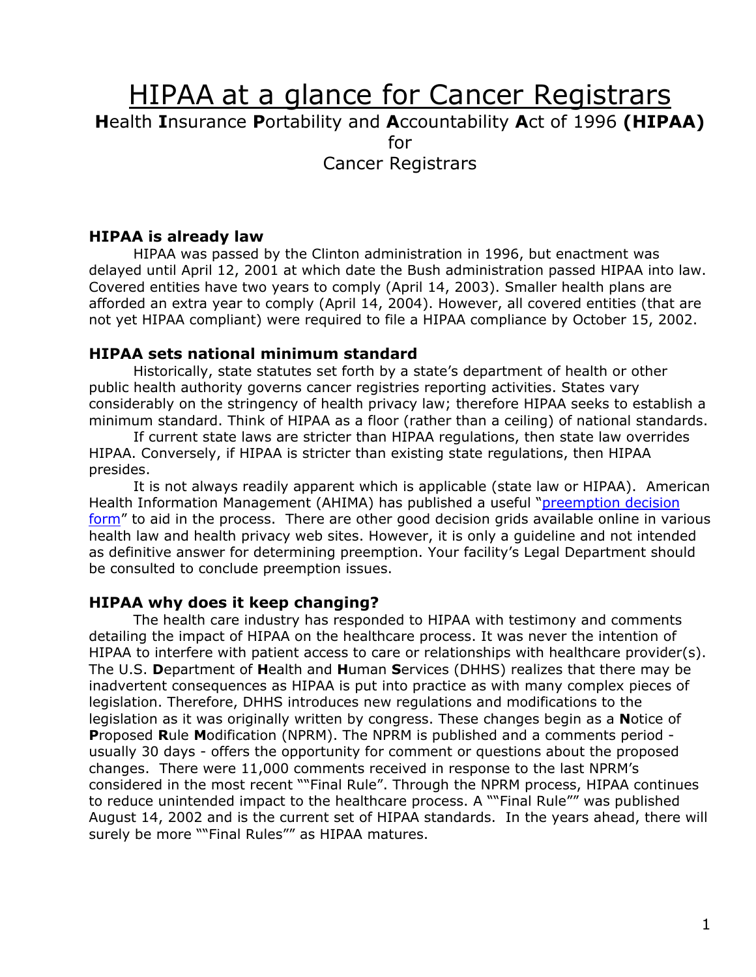# HIPAA at a glance for Cancer Registrars

**H**ealth **I**nsurance **P**ortability and **A**ccountability **A**ct of 1996 **(HIPAA)** 

for

Cancer Registrars

### **HIPAA is already law**

HIPAA was passed by the Clinton administration in 1996, but enactment was delayed until April 12, 2001 at which date the Bush administration passed HIPAA into law. Covered entities have two years to comply (April 14, 2003). Smaller health plans are afforded an extra year to comply (April 14, 2004). However, all covered entities (that are not yet HIPAA compliant) were required to file a HIPAA compliance by October 15, 2002.

#### **HIPAA sets national minimum standard**

Historically, state statutes set forth by a state's department of health or other public health authority governs cancer registries reporting activities. States vary considerably on the stringency of health privacy law; therefore HIPAA seeks to establish a minimum standard. Think of HIPAA as a floor (rather than a ceiling) of national standards.

If current state laws are stricter than HIPAA regulations, then state law overrides HIPAA. Conversely, if HIPAA is stricter than existing state regulations, then HIPAA presides.

It is not always readily apparent which is applicable (state law or HIPAA). American Health Information Management (AHIMA) has published a useful ["preemption decision](http://library.ahima.org/xpedio/groups/public/documents/ahima/pub_bok1_010548.html)  [form"](http://library.ahima.org/xpedio/groups/public/documents/ahima/pub_bok1_010548.html) to aid in the process. There are other good decision grids available online in various health law and health privacy web sites. However, it is only a guideline and not intended as definitive answer for determining preemption. Your facility's Legal Department should be consulted to conclude preemption issues.

#### **HIPAA why does it keep changing?**

The health care industry has responded to HIPAA with testimony and comments detailing the impact of HIPAA on the healthcare process. It was never the intention of HIPAA to interfere with patient access to care or relationships with healthcare provider(s). The U.S. **D**epartment of **H**ealth and **H**uman **S**ervices (DHHS) realizes that there may be inadvertent consequences as HIPAA is put into practice as with many complex pieces of legislation. Therefore, DHHS introduces new regulations and modifications to the legislation as it was originally written by congress. These changes begin as a **N**otice of **P**roposed **R**ule **M**odification (NPRM). The NPRM is published and a comments period usually 30 days - offers the opportunity for comment or questions about the proposed changes. There were 11,000 comments received in response to the last NPRM's considered in the most recent ""Final Rule". Through the NPRM process, HIPAA continues to reduce unintended impact to the healthcare process. A ""Final Rule"" was published August 14, 2002 and is the current set of HIPAA standards. In the years ahead, there will surely be more ""Final Rules"" as HIPAA matures.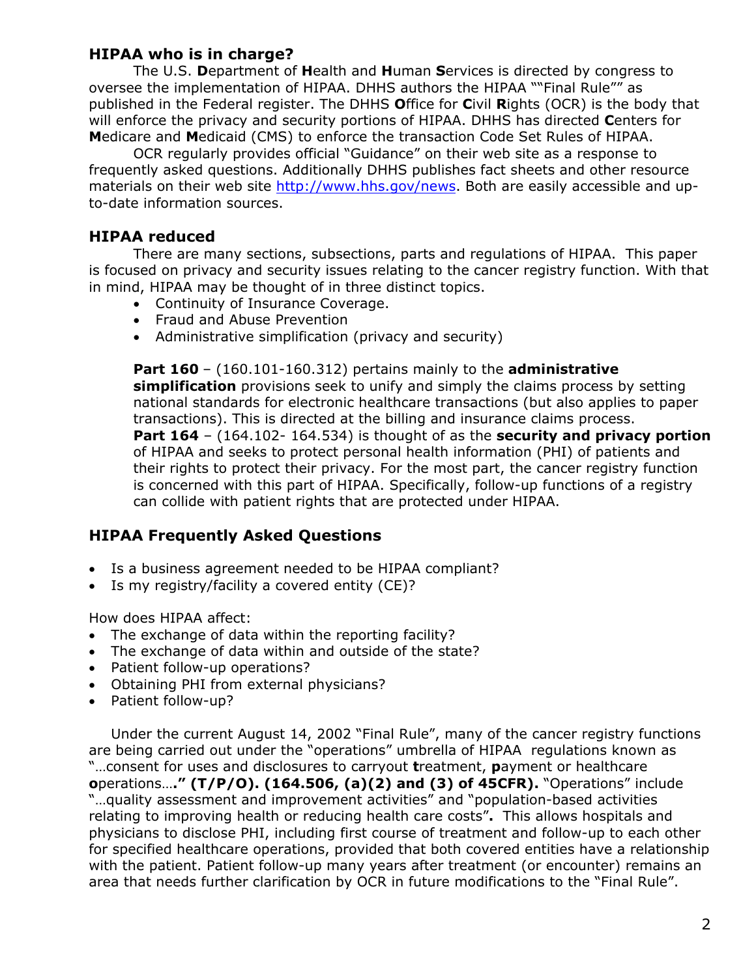## **HIPAA who is in charge?**

The U.S. **D**epartment of **H**ealth and **H**uman **S**ervices is directed by congress to oversee the implementation of HIPAA. DHHS authors the HIPAA ""Final Rule"" as published in the Federal register. The DHHS **O**ffice for **C**ivil **R**ights (OCR) is the body that will enforce the privacy and security portions of HIPAA. DHHS has directed **C**enters for **M**edicare and **M**edicaid (CMS) to enforce the transaction Code Set Rules of HIPAA.

OCR regularly provides official "Guidance" on their web site as a response to frequently asked questions. Additionally DHHS publishes fact sheets and other resource materials on their web site <http://www.hhs.gov/news>. Both are easily accessible and upto-date information sources.

## **HIPAA reduced**

There are many sections, subsections, parts and regulations of HIPAA. This paper is focused on privacy and security issues relating to the cancer registry function. With that in mind, HIPAA may be thought of in three distinct topics.

- Continuity of Insurance Coverage.
- Fraud and Abuse Prevention
- Administrative simplification (privacy and security)

**Part 160** – (160.101-160.312) pertains mainly to the **administrative simplification** provisions seek to unify and simply the claims process by setting national standards for electronic healthcare transactions (but also applies to paper transactions). This is directed at the billing and insurance claims process. **Part 164** – (164.102- 164.534) is thought of as the **security and privacy portion** of HIPAA and seeks to protect personal health information (PHI) of patients and their rights to protect their privacy. For the most part, the cancer registry function is concerned with this part of HIPAA. Specifically, follow-up functions of a registry can collide with patient rights that are protected under HIPAA.

#### **HIPAA Frequently Asked Questions**

- Is a business agreement needed to be HIPAA compliant?
- Is my registry/facility a covered entity (CE)?

How does HIPAA affect:

- The exchange of data within the reporting facility?
- The exchange of data within and outside of the state?
- Patient follow-up operations?
- Obtaining PHI from external physicians?
- Patient follow-up?

Under the current August 14, 2002 "Final Rule", many of the cancer registry functions are being carried out under the "operations" umbrella of HIPAA regulations known as "…consent for uses and disclosures to carryout **t**reatment, **p**ayment or healthcare **o**perations…**." (T/P/O). (164.506, (a)(2) and (3) of 45CFR).** "Operations" include "…quality assessment and improvement activities" and "population-based activities relating to improving health or reducing health care costs"**.** This allows hospitals and physicians to disclose PHI, including first course of treatment and follow-up to each other for specified healthcare operations, provided that both covered entities have a relationship with the patient. Patient follow-up many years after treatment (or encounter) remains an area that needs further clarification by OCR in future modifications to the "Final Rule".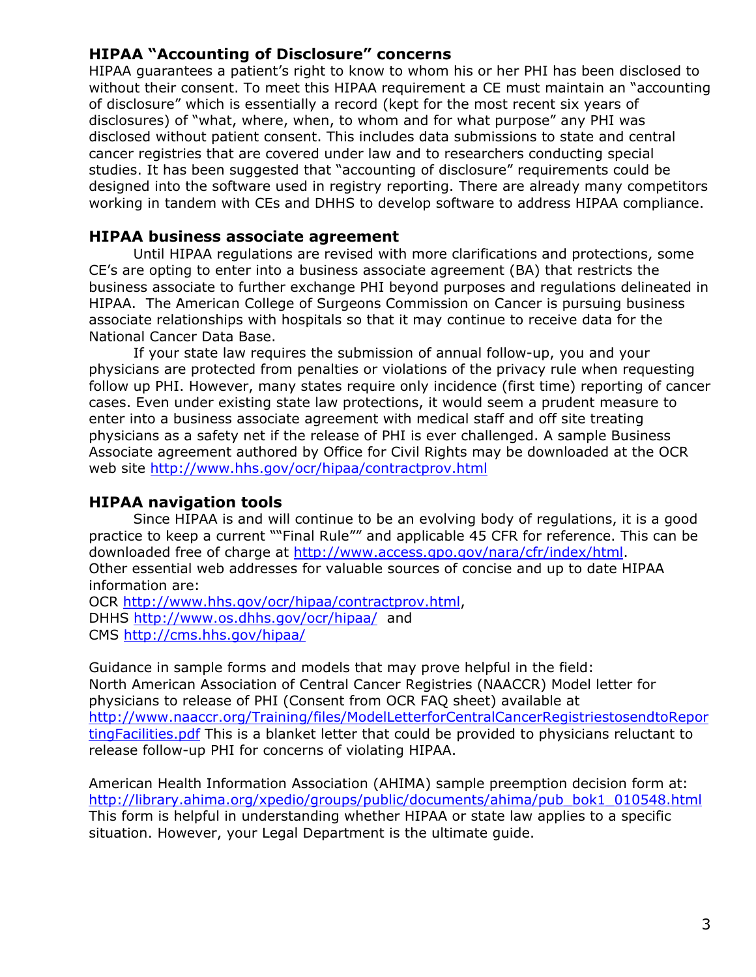## **HIPAA "Accounting of Disclosure" concerns**

HIPAA guarantees a patient's right to know to whom his or her PHI has been disclosed to without their consent. To meet this HIPAA requirement a CE must maintain an "accounting of disclosure" which is essentially a record (kept for the most recent six years of disclosures) of "what, where, when, to whom and for what purpose" any PHI was disclosed without patient consent. This includes data submissions to state and central cancer registries that are covered under law and to researchers conducting special studies. It has been suggested that "accounting of disclosure" requirements could be designed into the software used in registry reporting. There are already many competitors working in tandem with CEs and DHHS to develop software to address HIPAA compliance.

#### **HIPAA business associate agreement**

Until HIPAA regulations are revised with more clarifications and protections, some CE's are opting to enter into a business associate agreement (BA) that restricts the business associate to further exchange PHI beyond purposes and regulations delineated in HIPAA. The American College of Surgeons Commission on Cancer is pursuing business associate relationships with hospitals so that it may continue to receive data for the National Cancer Data Base.

If your state law requires the submission of annual follow-up, you and your physicians are protected from penalties or violations of the privacy rule when requesting follow up PHI. However, many states require only incidence (first time) reporting of cancer cases. Even under existing state law protections, it would seem a prudent measure to enter into a business associate agreement with medical staff and off site treating physicians as a safety net if the release of PHI is ever challenged. A sample Business Associate agreement authored by Office for Civil Rights may be downloaded at the OCR web site <http://www.hhs.gov/ocr/hipaa/contractprov.html>

#### **HIPAA navigation tools**

Since HIPAA is and will continue to be an evolving body of regulations, it is a good practice to keep a current ""Final Rule"" and applicable 45 CFR for reference. This can be downloaded free of charge at [http://www.access.gpo.gov/nara/cfr/index/html.](http://www.access.gpo.gov/nara/cfr/index/html) Other essential web addresses for valuable sources of concise and up to date HIPAA information are:

OCR [http://www.hhs.gov/ocr/hipaa/contractprov.html,](http://www.hhs.gov/ocr/hipaa/contractprov.html) DHHS<http://www.os.dhhs.gov/ocr/hipaa/> and CMS<http://cms.hhs.gov/hipaa/>

Guidance in sample forms and models that may prove helpful in the field: North American Association of Central Cancer Registries (NAACCR) Model letter for physicians to release of PHI (Consent from OCR FAQ sheet) available at [http://www.naaccr.org/Training/files/ModelLetterforCentralCancerRegistriestosendtoRepor](http://www.naaccr.org/Training/files/ModelLetterforCentralCancerRegistriestosendtoReportingFacilities.pdf) [tingFacilities.pdf](http://www.naaccr.org/Training/files/ModelLetterforCentralCancerRegistriestosendtoReportingFacilities.pdf) This is a blanket letter that could be provided to physicians reluctant to release follow-up PHI for concerns of violating HIPAA.

American Health Information Association (AHIMA) sample preemption decision form at: [http://library.ahima.org/xpedio/groups/public/documents/ahima/pub\\_bok1\\_010548.html](http://library.ahima.org/xpedio/groups/public/documents/ahima/pub_bok1_010548.html)  This form is helpful in understanding whether HIPAA or state law applies to a specific situation. However, your Legal Department is the ultimate guide.